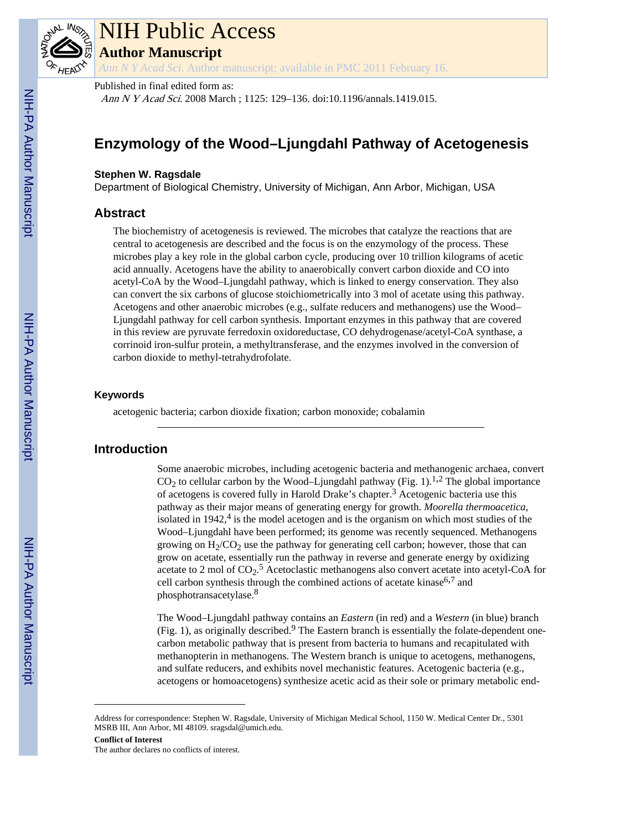

# NIH Public Access

**Author Manuscript**

*Ann N Y Acad Sci*. Author manuscript; available in PMC 2011 February 16.

#### Published in final edited form as:

Ann N Y Acad Sci. 2008 March ; 1125: 129–136. doi:10.1196/annals.1419.015.

# **Enzymology of the Wood–Ljungdahl Pathway of Acetogenesis**

#### **Stephen W. Ragsdale**

Department of Biological Chemistry, University of Michigan, Ann Arbor, Michigan, USA

#### **Abstract**

The biochemistry of acetogenesis is reviewed. The microbes that catalyze the reactions that are central to acetogenesis are described and the focus is on the enzymology of the process. These microbes play a key role in the global carbon cycle, producing over 10 trillion kilograms of acetic acid annually. Acetogens have the ability to anaerobically convert carbon dioxide and CO into acetyl-CoA by the Wood–Ljungdahl pathway, which is linked to energy conservation. They also can convert the six carbons of glucose stoichiometrically into 3 mol of acetate using this pathway. Acetogens and other anaerobic microbes (e.g., sulfate reducers and methanogens) use the Wood– Ljungdahl pathway for cell carbon synthesis. Important enzymes in this pathway that are covered in this review are pyruvate ferredoxin oxidoreductase, CO dehydrogenase/acetyl-CoA synthase, a corrinoid iron-sulfur protein, a methyltransferase, and the enzymes involved in the conversion of carbon dioxide to methyl-tetrahydrofolate.

#### **Keywords**

acetogenic bacteria; carbon dioxide fixation; carbon monoxide; cobalamin

### **Introduction**

Some anaerobic microbes, including acetogenic bacteria and methanogenic archaea, convert  $CO<sub>2</sub>$  to cellular carbon by the Wood–Ljungdahl pathway (Fig. 1).<sup>1,2</sup> The global importance of acetogens is covered fully in Harold Drake's chapter.<sup>3</sup> Acetogenic bacteria use this pathway as their major means of generating energy for growth. *Moorella thermoacetica*, isolated in  $1942<sup>4</sup>$  is the model acetogen and is the organism on which most studies of the Wood–Ljungdahl have been performed; its genome was recently sequenced. Methanogens growing on  $H_2/CO_2$  use the pathway for generating cell carbon; however, those that can grow on acetate, essentially run the pathway in reverse and generate energy by oxidizing acetate to 2 mol of  $CO_2$ .<sup>5</sup> Acetoclastic methanogens also convert acetate into acetyl-CoA for cell carbon synthesis through the combined actions of acetate kinase<sup>6,7</sup> and phosphotransacetylase.<sup>8</sup>

The Wood–Ljungdahl pathway contains an *Eastern* (in red) and a *Western* (in blue) branch (Fig. 1), as originally described.<sup>9</sup> The Eastern branch is essentially the folate-dependent onecarbon metabolic pathway that is present from bacteria to humans and recapitulated with methanopterin in methanogens. The Western branch is unique to acetogens, methanogens, and sulfate reducers, and exhibits novel mechanistic features. Acetogenic bacteria (e.g., acetogens or homoacetogens) synthesize acetic acid as their sole or primary metabolic end-

Address for correspondence: Stephen W. Ragsdale, University of Michigan Medical School, 1150 W. Medical Center Dr., 5301 MSRB III, Ann Arbor, MI 48109. sragsdal@umich.edu.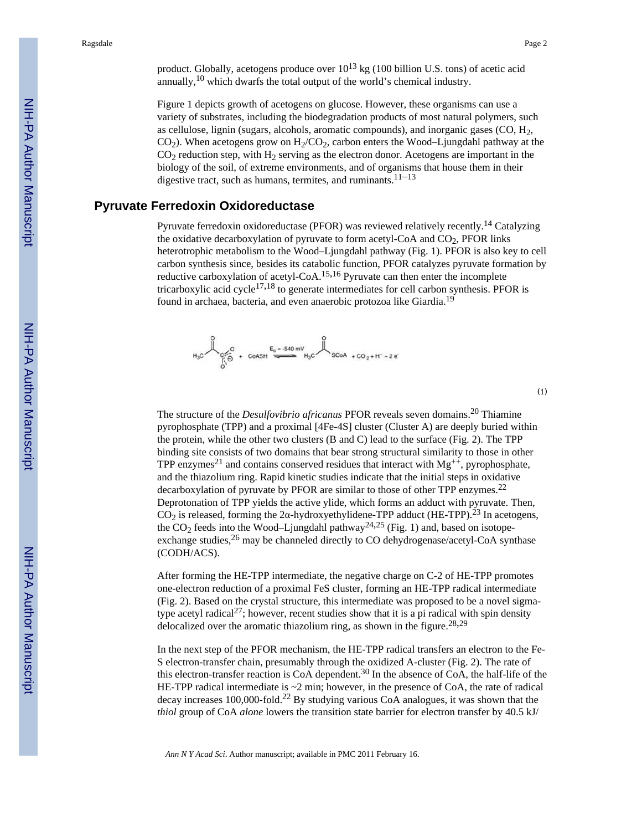(1)

product. Globally, acetogens produce over  $10^{13}$  kg (100 billion U.S. tons) of acetic acid annually, $10$  which dwarfs the total output of the world's chemical industry.

Figure 1 depicts growth of acetogens on glucose. However, these organisms can use a variety of substrates, including the biodegradation products of most natural polymers, such as cellulose, lignin (sugars, alcohols, aromatic compounds), and inorganic gases  $(CO, H<sub>2</sub>)$ ,  $CO<sub>2</sub>$ ). When acetogens grow on  $H<sub>2</sub>/CO<sub>2</sub>$ , carbon enters the Wood–Ljungdahl pathway at the  $CO<sub>2</sub>$  reduction step, with  $H<sub>2</sub>$  serving as the electron donor. Acetogens are important in the biology of the soil, of extreme environments, and of organisms that house them in their digestive tract, such as humans, termites, and ruminants. $11-13$ 

#### **Pyruvate Ferredoxin Oxidoreductase**

Pyruvate ferredoxin oxidoreductase (PFOR) was reviewed relatively recently.<sup>14</sup> Catalyzing the oxidative decarboxylation of pyruvate to form acetyl-CoA and  $CO<sub>2</sub>$ , PFOR links heterotrophic metabolism to the Wood–Ljungdahl pathway (Fig. 1). PFOR is also key to cell carbon synthesis since, besides its catabolic function, PFOR catalyzes pyruvate formation by reductive carboxylation of acetyl-CoA.15,16 Pyruvate can then enter the incomplete tricarboxylic acid cycle<sup>17,18</sup> to generate intermediates for cell carbon synthesis. PFOR is found in archaea, bacteria, and even anaerobic protozoa like Giardia.<sup>19</sup>



The structure of the *Desulfovibrio africanus* PFOR reveals seven domains.20 Thiamine pyrophosphate (TPP) and a proximal [4Fe-4S] cluster (Cluster A) are deeply buried within the protein, while the other two clusters (B and C) lead to the surface (Fig. 2). The TPP binding site consists of two domains that bear strong structural similarity to those in other TPP enzymes<sup>21</sup> and contains conserved residues that interact with  $Mg^{++}$ , pyrophosphate, and the thiazolium ring. Rapid kinetic studies indicate that the initial steps in oxidative decarboxylation of pyruvate by PFOR are similar to those of other TPP enzymes.<sup>22</sup> Deprotonation of TPP yields the active ylide, which forms an adduct with pyruvate. Then,  $CO<sub>2</sub>$  is released, forming the 2 $\alpha$ -hydroxyethylidene-TPP adduct (HE-TPP).<sup>23</sup> In acetogens, the  $CO_2$  feeds into the Wood–Ljungdahl pathway<sup>24,25</sup> (Fig. 1) and, based on isotopeexchange studies,<sup>26</sup> may be channeled directly to CO dehydrogenase/acetyl-CoA synthase (CODH/ACS).

After forming the HE-TPP intermediate, the negative charge on C-2 of HE-TPP promotes one-electron reduction of a proximal FeS cluster, forming an HE-TPP radical intermediate (Fig. 2). Based on the crystal structure, this intermediate was proposed to be a novel sigmatype acetyl radical<sup>27</sup>; however, recent studies show that it is a pi radical with spin density delocalized over the aromatic thiazolium ring, as shown in the figure.  $28,29$ 

In the next step of the PFOR mechanism, the HE-TPP radical transfers an electron to the Fe-S electron-transfer chain, presumably through the oxidized A-cluster (Fig. 2). The rate of this electron-transfer reaction is  $CoA$  dependent.<sup>30</sup> In the absence of  $CoA$ , the half-life of the HE-TPP radical intermediate is ~2 min; however, in the presence of CoA, the rate of radical decay increases 100,000-fold.<sup>22</sup> By studying various CoA analogues, it was shown that the *thiol* group of CoA *alone* lowers the transition state barrier for electron transfer by 40.5 kJ/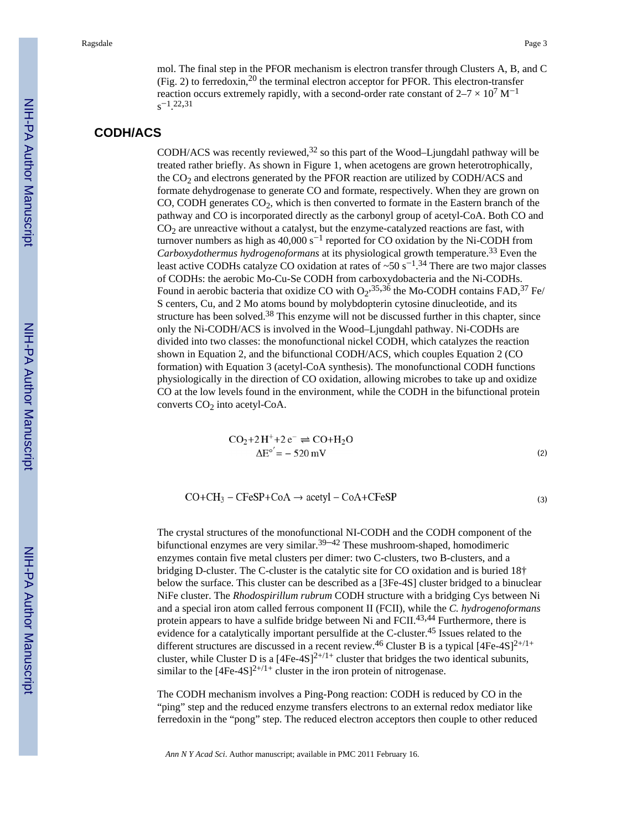(2)

(3)

mol. The final step in the PFOR mechanism is electron transfer through Clusters A, B, and C (Fig. 2) to ferredoxin, $^{20}$  the terminal electron acceptor for PFOR. This electron-transfer reaction occurs extremely rapidly, with a second-order rate constant of  $2-7 \times 10^7$  M<sup>-1</sup>  $s^{-1}$ . 22,31

# **CODH/ACS**

CODH/ACS was recently reviewed,  $32$  so this part of the Wood–Ljungdahl pathway will be treated rather briefly. As shown in Figure 1, when acetogens are grown heterotrophically, the  $CO<sub>2</sub>$  and electrons generated by the PFOR reaction are utilized by CODH/ACS and formate dehydrogenase to generate CO and formate, respectively. When they are grown on CO, CODH generates CO<sub>2</sub>, which is then converted to formate in the Eastern branch of the pathway and CO is incorporated directly as the carbonyl group of acetyl-CoA. Both CO and  $CO<sub>2</sub>$  are unreactive without a catalyst, but the enzyme-catalyzed reactions are fast, with turnover numbers as high as  $40,000$  s<sup>-1</sup> reported for CO oxidation by the Ni-CODH from *Carboxydothermus hydrogenoformans* at its physiological growth temperature.<sup>33</sup> Even the least active CODHs catalyze CO oxidation at rates of ~50 s<sup>-1</sup>.<sup>34</sup> There are two major classes of CODHs: the aerobic Mo-Cu-Se CODH from carboxydobacteria and the Ni-CODHs. Found in aerobic bacteria that oxidize CO with  $O_2$ ,  $35,36$  the Mo-CODH contains FAD,  $37$  Fe/ S centers, Cu, and 2 Mo atoms bound by molybdopterin cytosine dinucleotide, and its structure has been solved. $38$  This enzyme will not be discussed further in this chapter, since only the Ni-CODH/ACS is involved in the Wood–Ljungdahl pathway. Ni-CODHs are divided into two classes: the monofunctional nickel CODH, which catalyzes the reaction shown in Equation 2, and the bifunctional CODH/ACS, which couples Equation 2 (CO formation) with Equation 3 (acetyl-CoA synthesis). The monofunctional CODH functions physiologically in the direction of CO oxidation, allowing microbes to take up and oxidize CO at the low levels found in the environment, while the CODH in the bifunctional protein converts  $CO<sub>2</sub>$  into acetyl-CoA.

$$
CO2+2H++2e- \rightleftharpoons CO+H2O
$$

$$
\Delta Eo' = -520 \text{ mV}
$$

$$
CO + CH_3 - CFeSP + CoA \rightarrow acetyl - CoA + CFeSP
$$

The crystal structures of the monofunctional NI-CODH and the CODH component of the bifunctional enzymes are very similar.<sup>39–42</sup> These mushroom-shaped, homodimeric enzymes contain five metal clusters per dimer: two C-clusters, two B-clusters, and a bridging D-cluster. The C-cluster is the catalytic site for CO oxidation and is buried 18† below the surface. This cluster can be described as a [3Fe-4S] cluster bridged to a binuclear NiFe cluster. The *Rhodospirillum rubrum* CODH structure with a bridging Cys between Ni and a special iron atom called ferrous component II (FCII), while the *C. hydrogenoformans* protein appears to have a sulfide bridge between Ni and FCII.<sup>43,44</sup> Furthermore, there is evidence for a catalytically important persulfide at the C-cluster.45 Issues related to the different structures are discussed in a recent review.<sup>46</sup> Cluster B is a typical  $[4Fe-4S]^{2+/1+}$ cluster, while Cluster D is a  $[4Fe-4S]^{2+/1+}$  cluster that bridges the two identical subunits, similar to the  $[4Fe-4S]^{2+/1+}$  cluster in the iron protein of nitrogenase.

The CODH mechanism involves a Ping-Pong reaction: CODH is reduced by CO in the "ping" step and the reduced enzyme transfers electrons to an external redox mediator like ferredoxin in the "pong" step. The reduced electron acceptors then couple to other reduced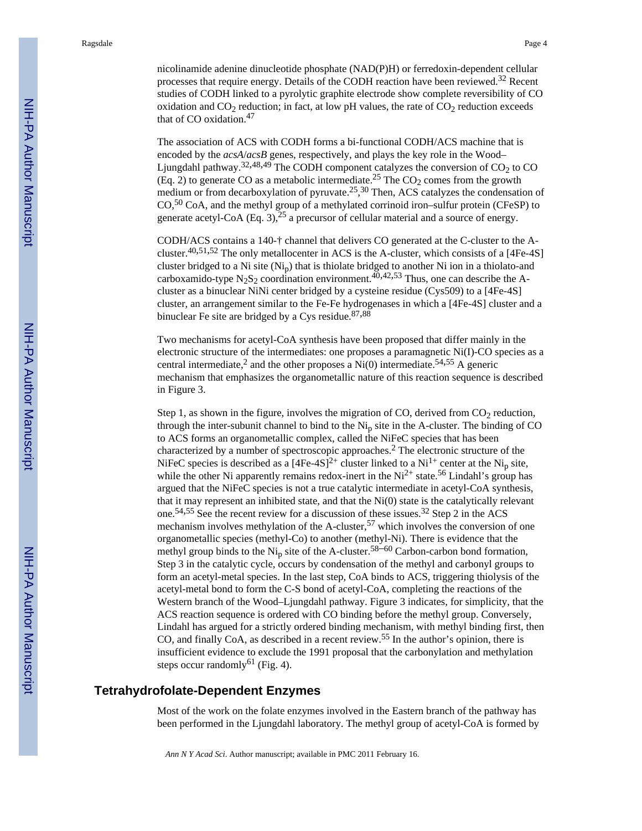nicolinamide adenine dinucleotide phosphate (NAD(P)H) or ferredoxin-dependent cellular processes that require energy. Details of the CODH reaction have been reviewed. $32$  Recent studies of CODH linked to a pyrolytic graphite electrode show complete reversibility of CO oxidation and  $CO<sub>2</sub>$  reduction; in fact, at low pH values, the rate of  $CO<sub>2</sub>$  reduction exceeds that of CO oxidation.<sup>47</sup>

The association of ACS with CODH forms a bi-functional CODH/ACS machine that is encoded by the *acsA*/*acsB* genes, respectively, and plays the key role in the Wood– Ljungdahl pathway.<sup>32,48,49</sup> The CODH component catalyzes the conversion of  $CO<sub>2</sub>$  to CO (Eq. 2) to generate CO as a metabolic intermediate.<sup>25</sup> The CO<sub>2</sub> comes from the growth medium or from decarboxylation of pyruvate.<sup>25</sup>,  $30$  Then, ACS catalyzes the condensation of  $CO<sub>2</sub>$ <sup>50</sup> CoA, and the methyl group of a methylated corrinoid iron–sulfur protein (CFeSP) to generate acetyl-CoA (Eq. 3),  $2^5$  a precursor of cellular material and a source of energy.

CODH/ACS contains a 140-† channel that delivers CO generated at the C-cluster to the Acluster.<sup>40,51,52</sup> The only metallocenter in ACS is the A-cluster, which consists of a [4Fe-4S] cluster bridged to a Ni site  $(Ni_n)$  that is thiolate bridged to another Ni ion in a thiolato-and carboxamido-type N<sub>2</sub>S<sub>2</sub> coordination environment.<sup>40,42,53</sup> Thus, one can describe the Acluster as a binuclear NiNi center bridged by a cysteine residue (Cys509) to a [4Fe-4S] cluster, an arrangement similar to the Fe-Fe hydrogenases in which a [4Fe-4S] cluster and a binuclear Fe site are bridged by a Cys residue. $87,88$ 

Two mechanisms for acetyl-CoA synthesis have been proposed that differ mainly in the electronic structure of the intermediates: one proposes a paramagnetic Ni(I)-CO species as a central intermediate,<sup>2</sup> and the other proposes a  $\overrightarrow{Ni(0)}$  intermediate.<sup>54,55</sup> A generic mechanism that emphasizes the organometallic nature of this reaction sequence is described in Figure 3.

Step 1, as shown in the figure, involves the migration of CO, derived from  $CO<sub>2</sub>$  reduction, through the inter-subunit channel to bind to the  $Ni<sub>p</sub>$  site in the A-cluster. The binding of CO to ACS forms an organometallic complex, called the NiFeC species that has been characterized by a number of spectroscopic approaches.<sup>2</sup> The electronic structure of the NiFeC species is described as a  $[4Fe-4S]^2$ <sup>+</sup> cluster linked to a Ni<sup>1+</sup> center at the Ni<sub>p</sub> site, while the other Ni apparently remains redox-inert in the  $Ni^{2+}$  state.<sup>56</sup> Lindahl's group has argued that the NiFeC species is not a true catalytic intermediate in acetyl-CoA synthesis, that it may represent an inhibited state, and that the  $Ni(0)$  state is the catalytically relevant one.54,55 See the recent review for a discussion of these issues.32 Step 2 in the ACS mechanism involves methylation of the A-cluster,57 which involves the conversion of one organometallic species (methyl-Co) to another (methyl-Ni). There is evidence that the methyl group binds to the  $Ni<sub>p</sub>$  site of the A-cluster.<sup>58–60</sup> Carbon-carbon bond formation, Step 3 in the catalytic cycle, occurs by condensation of the methyl and carbonyl groups to form an acetyl-metal species. In the last step, CoA binds to ACS, triggering thiolysis of the acetyl-metal bond to form the C-S bond of acetyl-CoA, completing the reactions of the Western branch of the Wood–Ljungdahl pathway. Figure 3 indicates, for simplicity, that the ACS reaction sequence is ordered with CO binding before the methyl group. Conversely, Lindahl has argued for a strictly ordered binding mechanism, with methyl binding first, then CO, and finally CoA, as described in a recent review.55 In the author's opinion, there is insufficient evidence to exclude the 1991 proposal that the carbonylation and methylation steps occur randomly<sup>61</sup> (Fig. 4).

#### **Tetrahydrofolate-Dependent Enzymes**

Most of the work on the folate enzymes involved in the Eastern branch of the pathway has been performed in the Ljungdahl laboratory. The methyl group of acetyl-CoA is formed by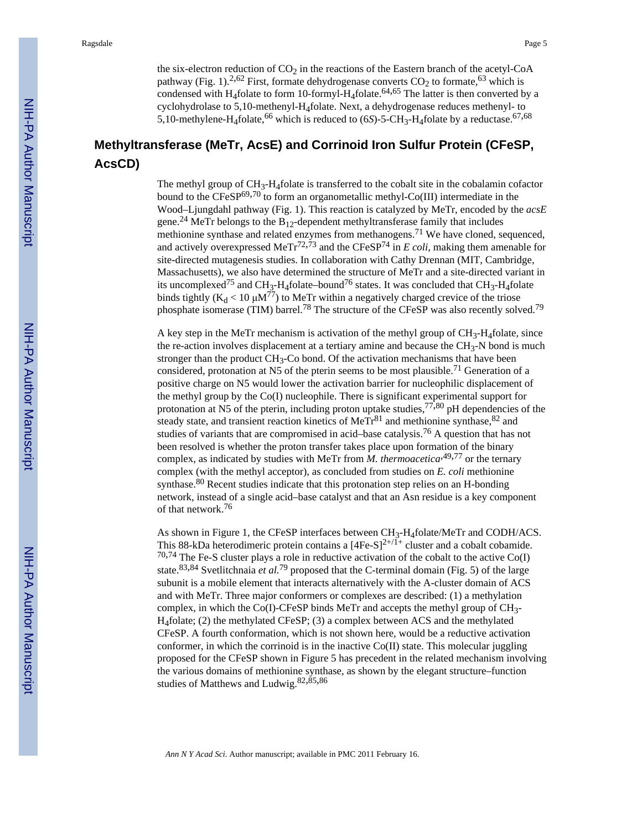the six-electron reduction of  $CO<sub>2</sub>$  in the reactions of the Eastern branch of the acetyl-CoA pathway (Fig. 1).<sup>2,62</sup> First, formate dehydrogenase converts  $CO<sub>2</sub>$  to formate,<sup>63</sup> which is condensed with H<sub>4</sub>folate to form 10-formyl-H<sub>4</sub>folate.<sup>64,65</sup> The latter is then converted by a cyclohydrolase to 5,10-methenyl-H4folate. Next, a dehydrogenase reduces methenyl- to 5,10-methylene-H<sub>4</sub>folate,<sup>66</sup> which is reduced to (6*S*)-5-CH<sub>3</sub>-H<sub>4</sub>folate by a reductase.<sup>67,68</sup>

# **Methyltransferase (MeTr, AcsE) and Corrinoid Iron Sulfur Protein (CFeSP, AcsCD)**

The methyl group of  $CH_3-H_4$ folate is transferred to the cobalt site in the cobalamin cofactor bound to the  $CFeSP^{69,70}$  to form an organometallic methyl-Co(III) intermediate in the Wood–Ljungdahl pathway (Fig. 1). This reaction is catalyzed by MeTr, encoded by the *acsE* gene.<sup>24</sup> MeTr belongs to the  $B_{12}$ -dependent methyltransferase family that includes methionine synthase and related enzymes from methanogens.<sup>71</sup> We have cloned, sequenced, and actively overexpressed MeTr<sup>72,73</sup> and the CFeSP<sup>74</sup> in *E coli*, making them amenable for site-directed mutagenesis studies. In collaboration with Cathy Drennan (MIT, Cambridge, Massachusetts), we also have determined the structure of MeTr and a site-directed variant in its uncomplexed<sup>75</sup> and CH<sub>3</sub>-H<sub>4</sub>folate–bound<sup>76</sup> states. It was concluded that CH<sub>3</sub>-H<sub>4</sub>folate binds tightly  $(K_d < 10 \mu M^{77})$  to MeTr within a negatively charged crevice of the triose phosphate isomerase (TIM) barrel.78 The structure of the CFeSP was also recently solved.<sup>79</sup>

A key step in the MeTr mechanism is activation of the methyl group of  $CH_3-H_4$ folate, since the re-action involves displacement at a tertiary amine and because the  $CH_3$ -N bond is much stronger than the product  $CH_3$ -Co bond. Of the activation mechanisms that have been considered, protonation at N5 of the pterin seems to be most plausible.<sup>71</sup> Generation of a positive charge on N5 would lower the activation barrier for nucleophilic displacement of the methyl group by the Co(I) nucleophile. There is significant experimental support for protonation at N5 of the pterin, including proton uptake studies,  $77,80$  pH dependencies of the steady state, and transient reaction kinetics of  $MerGamma^{81}$  and methionine synthase,  $82$  and studies of variants that are compromised in acid–base catalysis.76 A question that has not been resolved is whether the proton transfer takes place upon formation of the binary complex, as indicated by studies with MeTr from  $M$ . thermoacetica<sup>49,77</sup> or the ternary complex (with the methyl acceptor), as concluded from studies on *E. coli* methionine synthase.<sup>80</sup> Recent studies indicate that this protonation step relies on an H-bonding network, instead of a single acid–base catalyst and that an Asn residue is a key component of that network.<sup>76</sup>

As shown in Figure 1, the CFeSP interfaces between CH<sub>3</sub>-H<sub>4</sub>folate/MeTr and CODH/ACS. This 88-kDa heterodimeric protein contains a  $[4Fe-S]^{2+/\tilde{1}+}$  cluster and a cobalt cobamide.  $70,74$  The Fe-S cluster plays a role in reductive activation of the cobalt to the active Co(I) state.83,84 Svetlitchnaia *et al.*79 proposed that the C-terminal domain (Fig. 5) of the large subunit is a mobile element that interacts alternatively with the A-cluster domain of ACS and with MeTr. Three major conformers or complexes are described: (1) a methylation complex, in which the Co(I)-CFeSP binds MeTr and accepts the methyl group of  $CH<sub>3</sub>$ -H4folate; (2) the methylated CFeSP; (3) a complex between ACS and the methylated CFeSP. A fourth conformation, which is not shown here, would be a reductive activation conformer, in which the corrinoid is in the inactive  $Co(II)$  state. This molecular juggling proposed for the CFeSP shown in Figure 5 has precedent in the related mechanism involving the various domains of methionine synthase, as shown by the elegant structure–function studies of Matthews and Ludwig.82,85,<sup>86</sup>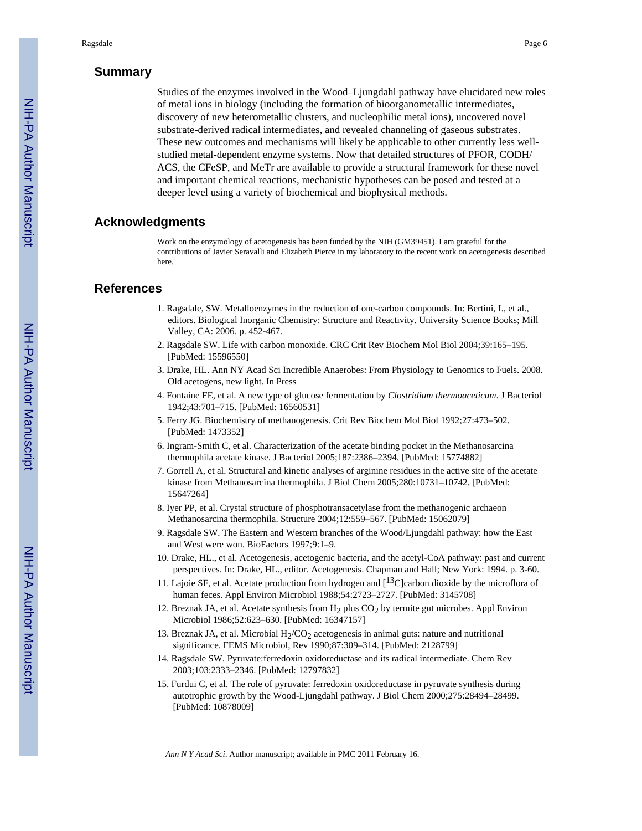## **Summary**

Studies of the enzymes involved in the Wood–Ljungdahl pathway have elucidated new roles of metal ions in biology (including the formation of bioorganometallic intermediates, discovery of new heterometallic clusters, and nucleophilic metal ions), uncovered novel substrate-derived radical intermediates, and revealed channeling of gaseous substrates. These new outcomes and mechanisms will likely be applicable to other currently less wellstudied metal-dependent enzyme systems. Now that detailed structures of PFOR, CODH/ ACS, the CFeSP, and MeTr are available to provide a structural framework for these novel and important chemical reactions, mechanistic hypotheses can be posed and tested at a deeper level using a variety of biochemical and biophysical methods.

## **Acknowledgments**

Work on the enzymology of acetogenesis has been funded by the NIH (GM39451). I am grateful for the contributions of Javier Seravalli and Elizabeth Pierce in my laboratory to the recent work on acetogenesis described here.

#### **References**

- 1. Ragsdale, SW. Metalloenzymes in the reduction of one-carbon compounds. In: Bertini, I., et al., editors. Biological Inorganic Chemistry: Structure and Reactivity. University Science Books; Mill Valley, CA: 2006. p. 452-467.
- 2. Ragsdale SW. Life with carbon monoxide. CRC Crit Rev Biochem Mol Biol 2004;39:165–195. [PubMed: 15596550]
- 3. Drake, HL. Ann NY Acad Sci Incredible Anaerobes: From Physiology to Genomics to Fuels. 2008. Old acetogens, new light. In Press
- 4. Fontaine FE, et al. A new type of glucose fermentation by *Clostridium thermoaceticum*. J Bacteriol 1942;43:701–715. [PubMed: 16560531]
- 5. Ferry JG. Biochemistry of methanogenesis. Crit Rev Biochem Mol Biol 1992;27:473–502. [PubMed: 1473352]
- 6. Ingram-Smith C, et al. Characterization of the acetate binding pocket in the Methanosarcina thermophila acetate kinase. J Bacteriol 2005;187:2386–2394. [PubMed: 15774882]
- 7. Gorrell A, et al. Structural and kinetic analyses of arginine residues in the active site of the acetate kinase from Methanosarcina thermophila. J Biol Chem 2005;280:10731–10742. [PubMed: 15647264]
- 8. Iyer PP, et al. Crystal structure of phosphotransacetylase from the methanogenic archaeon Methanosarcina thermophila. Structure 2004;12:559–567. [PubMed: 15062079]
- 9. Ragsdale SW. The Eastern and Western branches of the Wood/Ljungdahl pathway: how the East and West were won. BioFactors 1997;9:1–9.
- 10. Drake, HL., et al. Acetogenesis, acetogenic bacteria, and the acetyl-CoA pathway: past and current perspectives. In: Drake, HL., editor. Acetogenesis. Chapman and Hall; New York: 1994. p. 3-60.
- 11. Lajoie SF, et al. Acetate production from hydrogen and  $[$ <sup>13</sup>C]carbon dioxide by the microflora of human feces. Appl Environ Microbiol 1988;54:2723–2727. [PubMed: 3145708]
- 12. Breznak JA, et al. Acetate synthesis from  $H_2$  plus  $CO_2$  by termite gut microbes. Appl Environ Microbiol 1986;52:623–630. [PubMed: 16347157]
- 13. Breznak JA, et al. Microbial  $H_2/CO_2$  acetogenesis in animal guts: nature and nutritional significance. FEMS Microbiol, Rev 1990;87:309–314. [PubMed: 2128799]
- 14. Ragsdale SW. Pyruvate:ferredoxin oxidoreductase and its radical intermediate. Chem Rev 2003;103:2333–2346. [PubMed: 12797832]
- 15. Furdui C, et al. The role of pyruvate: ferredoxin oxidoreductase in pyruvate synthesis during autotrophic growth by the Wood-Ljungdahl pathway. J Biol Chem 2000;275:28494–28499. [PubMed: 10878009]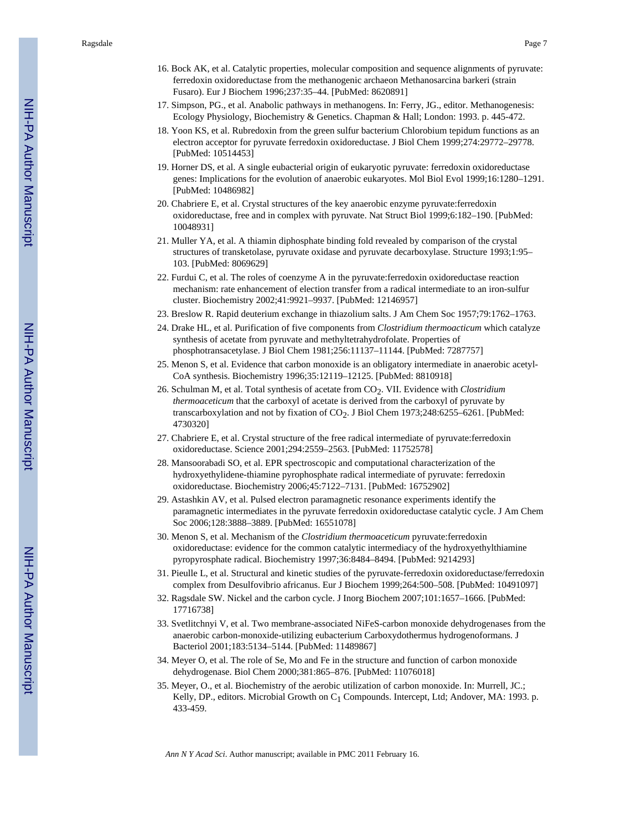- 16. Bock AK, et al. Catalytic properties, molecular composition and sequence alignments of pyruvate: ferredoxin oxidoreductase from the methanogenic archaeon Methanosarcina barkeri (strain Fusaro). Eur J Biochem 1996;237:35–44. [PubMed: 8620891]
- 17. Simpson, PG., et al. Anabolic pathways in methanogens. In: Ferry, JG., editor. Methanogenesis: Ecology Physiology, Biochemistry & Genetics. Chapman & Hall; London: 1993. p. 445-472.
- 18. Yoon KS, et al. Rubredoxin from the green sulfur bacterium Chlorobium tepidum functions as an electron acceptor for pyruvate ferredoxin oxidoreductase. J Biol Chem 1999;274:29772–29778. [PubMed: 10514453]
- 19. Horner DS, et al. A single eubacterial origin of eukaryotic pyruvate: ferredoxin oxidoreductase genes: Implications for the evolution of anaerobic eukaryotes. Mol Biol Evol 1999;16:1280–1291. [PubMed: 10486982]
- 20. Chabriere E, et al. Crystal structures of the key anaerobic enzyme pyruvate:ferredoxin oxidoreductase, free and in complex with pyruvate. Nat Struct Biol 1999;6:182–190. [PubMed: 10048931]
- 21. Muller YA, et al. A thiamin diphosphate binding fold revealed by comparison of the crystal structures of transketolase, pyruvate oxidase and pyruvate decarboxylase. Structure 1993;1:95– 103. [PubMed: 8069629]
- 22. Furdui C, et al. The roles of coenzyme A in the pyruvate:ferredoxin oxidoreductase reaction mechanism: rate enhancement of election transfer from a radical intermediate to an iron-sulfur cluster. Biochemistry 2002;41:9921–9937. [PubMed: 12146957]
- 23. Breslow R. Rapid deuterium exchange in thiazolium salts. J Am Chem Soc 1957;79:1762–1763.
- 24. Drake HL, et al. Purification of five components from *Clostridium thermoacticum* which catalyze synthesis of acetate from pyruvate and methyltetrahydrofolate. Properties of phosphotransacetylase. J Biol Chem 1981;256:11137–11144. [PubMed: 7287757]
- 25. Menon S, et al. Evidence that carbon monoxide is an obligatory intermediate in anaerobic acetyl-CoA synthesis. Biochemistry 1996;35:12119–12125. [PubMed: 8810918]
- 26. Schulman M, et al. Total synthesis of acetate from CO2. VII. Evidence with *Clostridium thermoaceticum* that the carboxyl of acetate is derived from the carboxyl of pyruvate by transcarboxylation and not by fixation of CO<sub>2</sub>. J Biol Chem 1973;248:6255–6261. [PubMed: 4730320]
- 27. Chabriere E, et al. Crystal structure of the free radical intermediate of pyruvate:ferredoxin oxidoreductase. Science 2001;294:2559–2563. [PubMed: 11752578]
- 28. Mansoorabadi SO, et al. EPR spectroscopic and computational characterization of the hydroxyethylidene-thiamine pyrophosphate radical intermediate of pyruvate: ferredoxin oxidoreductase. Biochemistry 2006;45:7122–7131. [PubMed: 16752902]
- 29. Astashkin AV, et al. Pulsed electron paramagnetic resonance experiments identify the paramagnetic intermediates in the pyruvate ferredoxin oxidoreductase catalytic cycle. J Am Chem Soc 2006;128:3888–3889. [PubMed: 16551078]
- 30. Menon S, et al. Mechanism of the *Clostridium thermoaceticum* pyruvate:ferredoxin oxidoreductase: evidence for the common catalytic intermediacy of the hydroxyethylthiamine pyropyrosphate radical. Biochemistry 1997;36:8484–8494. [PubMed: 9214293]
- 31. Pieulle L, et al. Structural and kinetic studies of the pyruvate-ferredoxin oxidoreductase/ferredoxin complex from Desulfovibrio africanus. Eur J Biochem 1999;264:500–508. [PubMed: 10491097]
- 32. Ragsdale SW. Nickel and the carbon cycle. J Inorg Biochem 2007;101:1657–1666. [PubMed: 17716738]
- 33. Svetlitchnyi V, et al. Two membrane-associated NiFeS-carbon monoxide dehydrogenases from the anaerobic carbon-monoxide-utilizing eubacterium Carboxydothermus hydrogenoformans. J Bacteriol 2001;183:5134–5144. [PubMed: 11489867]
- 34. Meyer O, et al. The role of Se, Mo and Fe in the structure and function of carbon monoxide dehydrogenase. Biol Chem 2000;381:865–876. [PubMed: 11076018]
- 35. Meyer, O., et al. Biochemistry of the aerobic utilization of carbon monoxide. In: Murrell, JC.; Kelly, DP., editors. Microbial Growth on C<sub>1</sub> Compounds. Intercept, Ltd; Andover, MA: 1993. p. 433-459.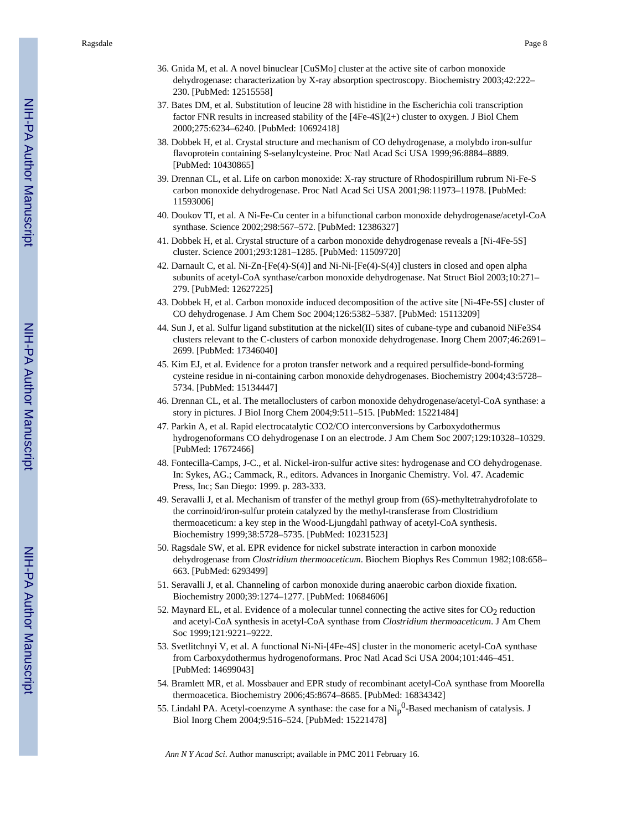- 36. Gnida M, et al. A novel binuclear [CuSMo] cluster at the active site of carbon monoxide dehydrogenase: characterization by X-ray absorption spectroscopy. Biochemistry 2003;42:222– 230. [PubMed: 12515558]
- 37. Bates DM, et al. Substitution of leucine 28 with histidine in the Escherichia coli transcription factor FNR results in increased stability of the [4Fe-4S](2+) cluster to oxygen. J Biol Chem 2000;275:6234–6240. [PubMed: 10692418]
- 38. Dobbek H, et al. Crystal structure and mechanism of CO dehydrogenase, a molybdo iron-sulfur flavoprotein containing S-selanylcysteine. Proc Natl Acad Sci USA 1999;96:8884–8889. [PubMed: 10430865]
- 39. Drennan CL, et al. Life on carbon monoxide: X-ray structure of Rhodospirillum rubrum Ni-Fe-S carbon monoxide dehydrogenase. Proc Natl Acad Sci USA 2001;98:11973–11978. [PubMed: 11593006]
- 40. Doukov TI, et al. A Ni-Fe-Cu center in a bifunctional carbon monoxide dehydrogenase/acetyl-CoA synthase. Science 2002;298:567–572. [PubMed: 12386327]
- 41. Dobbek H, et al. Crystal structure of a carbon monoxide dehydrogenase reveals a [Ni-4Fe-5S] cluster. Science 2001;293:1281–1285. [PubMed: 11509720]
- 42. Darnault C, et al. Ni-Zn-[Fe(4)-S(4)] and Ni-Ni-[Fe(4)-S(4)] clusters in closed and open alpha subunits of acetyl-CoA synthase/carbon monoxide dehydrogenase. Nat Struct Biol 2003;10:271– 279. [PubMed: 12627225]
- 43. Dobbek H, et al. Carbon monoxide induced decomposition of the active site [Ni-4Fe-5S] cluster of CO dehydrogenase. J Am Chem Soc 2004;126:5382–5387. [PubMed: 15113209]
- 44. Sun J, et al. Sulfur ligand substitution at the nickel(II) sites of cubane-type and cubanoid NiFe3S4 clusters relevant to the C-clusters of carbon monoxide dehydrogenase. Inorg Chem 2007;46:2691– 2699. [PubMed: 17346040]
- 45. Kim EJ, et al. Evidence for a proton transfer network and a required persulfide-bond-forming cysteine residue in ni-containing carbon monoxide dehydrogenases. Biochemistry 2004;43:5728– 5734. [PubMed: 15134447]
- 46. Drennan CL, et al. The metalloclusters of carbon monoxide dehydrogenase/acetyl-CoA synthase: a story in pictures. J Biol Inorg Chem 2004;9:511–515. [PubMed: 15221484]
- 47. Parkin A, et al. Rapid electrocatalytic CO2/CO interconversions by Carboxydothermus hydrogenoformans CO dehydrogenase I on an electrode. J Am Chem Soc 2007;129:10328–10329. [PubMed: 17672466]
- 48. Fontecilla-Camps, J-C., et al. Nickel-iron-sulfur active sites: hydrogenase and CO dehydrogenase. In: Sykes, AG.; Cammack, R., editors. Advances in Inorganic Chemistry. Vol. 47. Academic Press, Inc; San Diego: 1999. p. 283-333.
- 49. Seravalli J, et al. Mechanism of transfer of the methyl group from (6S)-methyltetrahydrofolate to the corrinoid/iron-sulfur protein catalyzed by the methyl-transferase from Clostridium thermoaceticum: a key step in the Wood-Ljungdahl pathway of acetyl-CoA synthesis. Biochemistry 1999;38:5728–5735. [PubMed: 10231523]
- 50. Ragsdale SW, et al. EPR evidence for nickel substrate interaction in carbon monoxide dehydrogenase from *Clostridium thermoaceticum*. Biochem Biophys Res Commun 1982;108:658– 663. [PubMed: 6293499]
- 51. Seravalli J, et al. Channeling of carbon monoxide during anaerobic carbon dioxide fixation. Biochemistry 2000;39:1274–1277. [PubMed: 10684606]
- 52. Maynard EL, et al. Evidence of a molecular tunnel connecting the active sites for  $CO<sub>2</sub>$  reduction and acetyl-CoA synthesis in acetyl-CoA synthase from *Clostridium thermoaceticum*. J Am Chem Soc 1999;121:9221–9222.
- 53. Svetlitchnyi V, et al. A functional Ni-Ni-[4Fe-4S] cluster in the monomeric acetyl-CoA synthase from Carboxydothermus hydrogenoformans. Proc Natl Acad Sci USA 2004;101:446–451. [PubMed: 14699043]
- 54. Bramlett MR, et al. Mossbauer and EPR study of recombinant acetyl-CoA synthase from Moorella thermoacetica. Biochemistry 2006;45:8674–8685. [PubMed: 16834342]
- 55. Lindahl PA. Acetyl-coenzyme A synthase: the case for a  $\text{Ni}_{p}^{0}$ -Based mechanism of catalysis. J Biol Inorg Chem 2004;9:516–524. [PubMed: 15221478]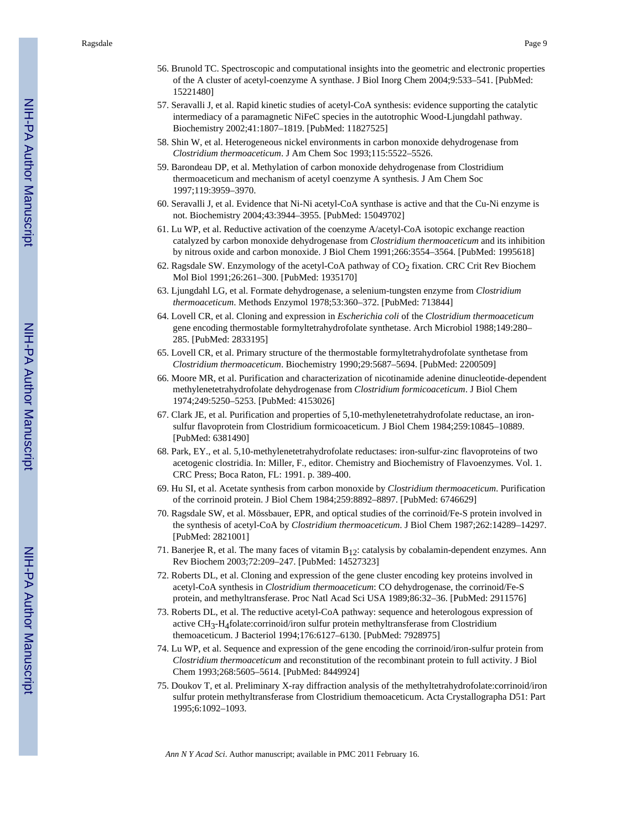- 56. Brunold TC. Spectroscopic and computational insights into the geometric and electronic properties of the A cluster of acetyl-coenzyme A synthase. J Biol Inorg Chem 2004;9:533–541. [PubMed: 15221480]
- 57. Seravalli J, et al. Rapid kinetic studies of acetyl-CoA synthesis: evidence supporting the catalytic intermediacy of a paramagnetic NiFeC species in the autotrophic Wood-Ljungdahl pathway. Biochemistry 2002;41:1807–1819. [PubMed: 11827525]
- 58. Shin W, et al. Heterogeneous nickel environments in carbon monoxide dehydrogenase from *Clostridium thermoaceticum*. J Am Chem Soc 1993;115:5522–5526.
- 59. Barondeau DP, et al. Methylation of carbon monoxide dehydrogenase from Clostridium thermoaceticum and mechanism of acetyl coenzyme A synthesis. J Am Chem Soc 1997;119:3959–3970.
- 60. Seravalli J, et al. Evidence that Ni-Ni acetyl-CoA synthase is active and that the Cu-Ni enzyme is not. Biochemistry 2004;43:3944–3955. [PubMed: 15049702]
- 61. Lu WP, et al. Reductive activation of the coenzyme A/acetyl-CoA isotopic exchange reaction catalyzed by carbon monoxide dehydrogenase from *Clostridium thermoaceticum* and its inhibition by nitrous oxide and carbon monoxide. J Biol Chem 1991;266:3554–3564. [PubMed: 1995618]
- 62. Ragsdale SW. Enzymology of the acetyl-CoA pathway of  $CO<sub>2</sub>$  fixation. CRC Crit Rev Biochem Mol Biol 1991;26:261–300. [PubMed: 1935170]
- 63. Ljungdahl LG, et al. Formate dehydrogenase, a selenium-tungsten enzyme from *Clostridium thermoaceticum*. Methods Enzymol 1978;53:360–372. [PubMed: 713844]
- 64. Lovell CR, et al. Cloning and expression in *Escherichia coli* of the *Clostridium thermoaceticum* gene encoding thermostable formyltetrahydrofolate synthetase. Arch Microbiol 1988;149:280– 285. [PubMed: 2833195]
- 65. Lovell CR, et al. Primary structure of the thermostable formyltetrahydrofolate synthetase from *Clostridium thermoaceticum*. Biochemistry 1990;29:5687–5694. [PubMed: 2200509]
- 66. Moore MR, et al. Purification and characterization of nicotinamide adenine dinucleotide-dependent methylenetetrahydrofolate dehydrogenase from *Clostridium formicoaceticum*. J Biol Chem 1974;249:5250–5253. [PubMed: 4153026]
- 67. Clark JE, et al. Purification and properties of 5,10-methylenetetrahydrofolate reductase, an ironsulfur flavoprotein from Clostridium formicoaceticum. J Biol Chem 1984;259:10845–10889. [PubMed: 6381490]
- 68. Park, EY., et al. 5,10-methylenetetrahydrofolate reductases: iron-sulfur-zinc flavoproteins of two acetogenic clostridia. In: Miller, F., editor. Chemistry and Biochemistry of Flavoenzymes. Vol. 1. CRC Press; Boca Raton, FL: 1991. p. 389-400.
- 69. Hu SI, et al. Acetate synthesis from carbon monoxide by *Clostridium thermoaceticum*. Purification of the corrinoid protein. J Biol Chem 1984;259:8892–8897. [PubMed: 6746629]
- 70. Ragsdale SW, et al. Mössbauer, EPR, and optical studies of the corrinoid/Fe-S protein involved in the synthesis of acetyl-CoA by *Clostridium thermoaceticum*. J Biol Chem 1987;262:14289–14297. [PubMed: 2821001]
- 71. Banerjee R, et al. The many faces of vitamin  $B_{12}$ : catalysis by cobalamin-dependent enzymes. Ann Rev Biochem 2003;72:209–247. [PubMed: 14527323]
- 72. Roberts DL, et al. Cloning and expression of the gene cluster encoding key proteins involved in acetyl-CoA synthesis in *Clostridium thermoaceticum*: CO dehydrogenase, the corrinoid/Fe-S protein, and methyltransferase. Proc Natl Acad Sci USA 1989;86:32–36. [PubMed: 2911576]
- 73. Roberts DL, et al. The reductive acetyl-CoA pathway: sequence and heterologous expression of active CH3-H4folate:corrinoid/iron sulfur protein methyltransferase from Clostridium themoaceticum. J Bacteriol 1994;176:6127–6130. [PubMed: 7928975]
- 74. Lu WP, et al. Sequence and expression of the gene encoding the corrinoid/iron-sulfur protein from *Clostridium thermoaceticum* and reconstitution of the recombinant protein to full activity. J Biol Chem 1993;268:5605–5614. [PubMed: 8449924]
- 75. Doukov T, et al. Preliminary X-ray diffraction analysis of the methyltetrahydrofolate:corrinoid/iron sulfur protein methyltransferase from Clostridium themoaceticum. Acta Crystallographa D51: Part 1995;6:1092–1093.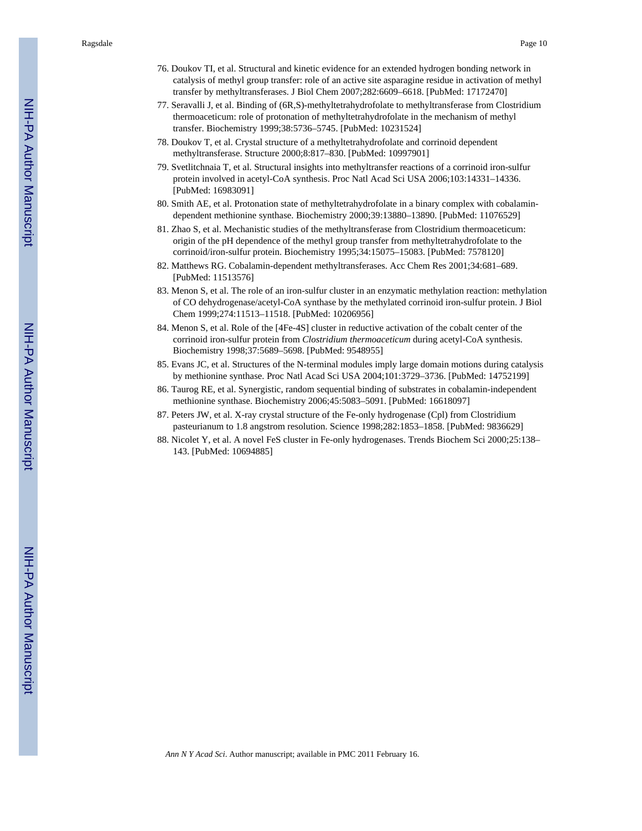- 76. Doukov TI, et al. Structural and kinetic evidence for an extended hydrogen bonding network in catalysis of methyl group transfer: role of an active site asparagine residue in activation of methyl transfer by methyltransferases. J Biol Chem 2007;282:6609–6618. [PubMed: 17172470]
- 77. Seravalli J, et al. Binding of (6R,S)-methyltetrahydrofolate to methyltransferase from Clostridium thermoaceticum: role of protonation of methyltetrahydrofolate in the mechanism of methyl transfer. Biochemistry 1999;38:5736–5745. [PubMed: 10231524]
- 78. Doukov T, et al. Crystal structure of a methyltetrahydrofolate and corrinoid dependent methyltransferase. Structure 2000;8:817–830. [PubMed: 10997901]
- 79. Svetlitchnaia T, et al. Structural insights into methyltransfer reactions of a corrinoid iron-sulfur protein involved in acetyl-CoA synthesis. Proc Natl Acad Sci USA 2006;103:14331–14336. [PubMed: 16983091]
- 80. Smith AE, et al. Protonation state of methyltetrahydrofolate in a binary complex with cobalamindependent methionine synthase. Biochemistry 2000;39:13880–13890. [PubMed: 11076529]
- 81. Zhao S, et al. Mechanistic studies of the methyltransferase from Clostridium thermoaceticum: origin of the pH dependence of the methyl group transfer from methyltetrahydrofolate to the corrinoid/iron-sulfur protein. Biochemistry 1995;34:15075–15083. [PubMed: 7578120]
- 82. Matthews RG. Cobalamin-dependent methyltransferases. Acc Chem Res 2001;34:681–689. [PubMed: 11513576]
- 83. Menon S, et al. The role of an iron-sulfur cluster in an enzymatic methylation reaction: methylation of CO dehydrogenase/acetyl-CoA synthase by the methylated corrinoid iron-sulfur protein. J Biol Chem 1999;274:11513–11518. [PubMed: 10206956]
- 84. Menon S, et al. Role of the [4Fe-4S] cluster in reductive activation of the cobalt center of the corrinoid iron-sulfur protein from *Clostridium thermoaceticum* during acetyl-CoA synthesis. Biochemistry 1998;37:5689–5698. [PubMed: 9548955]
- 85. Evans JC, et al. Structures of the N-terminal modules imply large domain motions during catalysis by methionine synthase. Proc Natl Acad Sci USA 2004;101:3729–3736. [PubMed: 14752199]
- 86. Taurog RE, et al. Synergistic, random sequential binding of substrates in cobalamin-independent methionine synthase. Biochemistry 2006;45:5083–5091. [PubMed: 16618097]
- 87. Peters JW, et al. X-ray crystal structure of the Fe-only hydrogenase (Cpl) from Clostridium pasteurianum to 1.8 angstrom resolution. Science 1998;282:1853–1858. [PubMed: 9836629]
- 88. Nicolet Y, et al. A novel FeS cluster in Fe-only hydrogenases. Trends Biochem Sci 2000;25:138– 143. [PubMed: 10694885]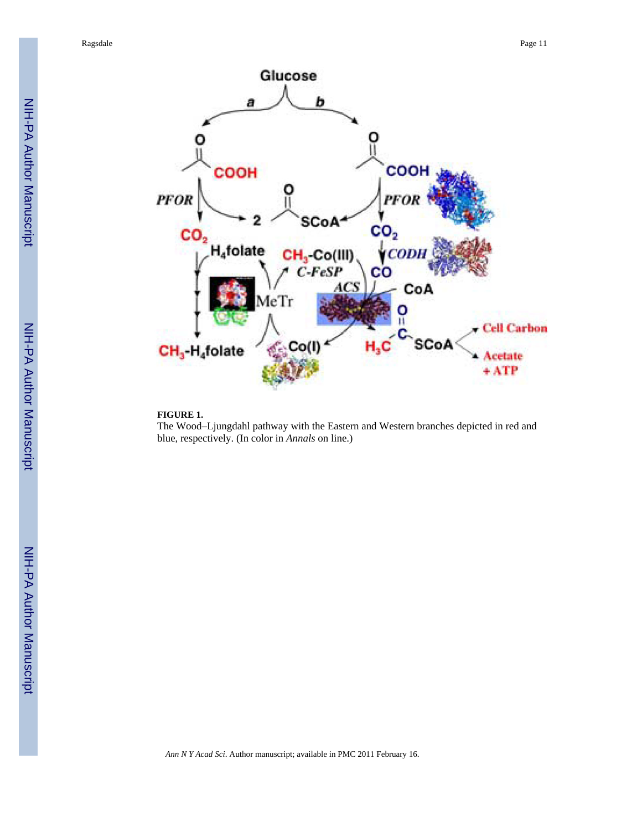

#### **FIGURE 1.**

The Wood–Ljungdahl pathway with the Eastern and Western branches depicted in red and blue, respectively. (In color in *Annals* on line.)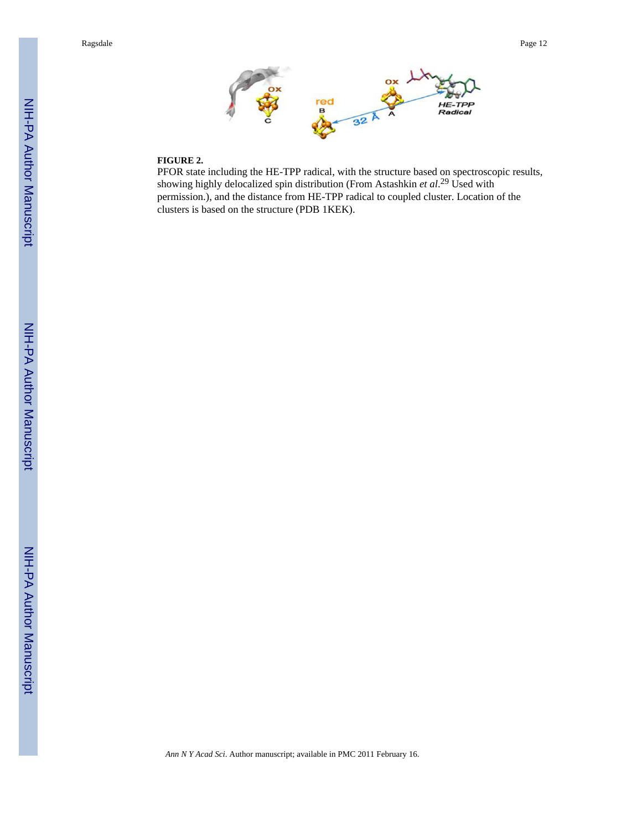

#### **FIGURE 2.**

PFOR state including the HE-TPP radical, with the structure based on spectroscopic results, showing highly delocalized spin distribution (From Astashkin *et al*. <sup>29</sup> Used with permission.), and the distance from HE-TPP radical to coupled cluster. Location of the clusters is based on the structure (PDB 1KEK).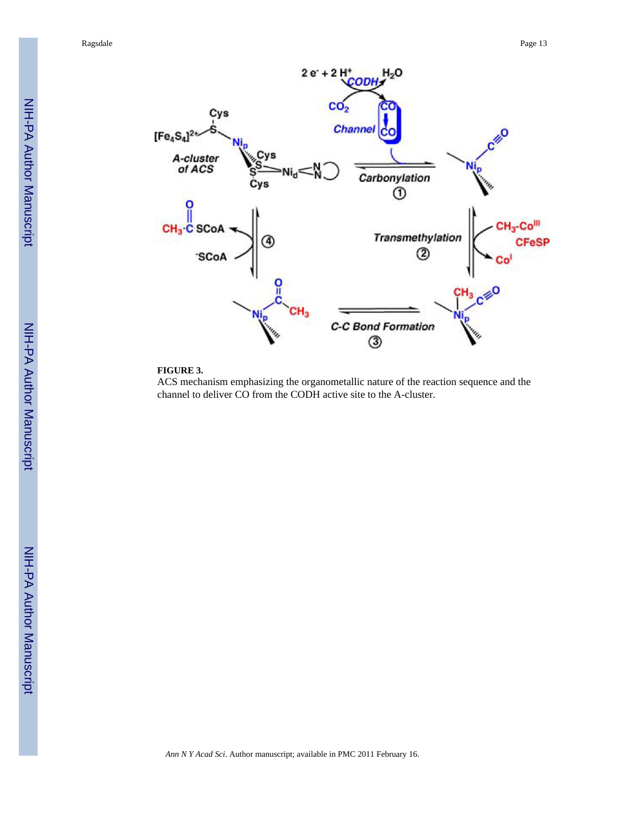

#### **FIGURE 3.**

ACS mechanism emphasizing the organometallic nature of the reaction sequence and the channel to deliver CO from the CODH active site to the A-cluster.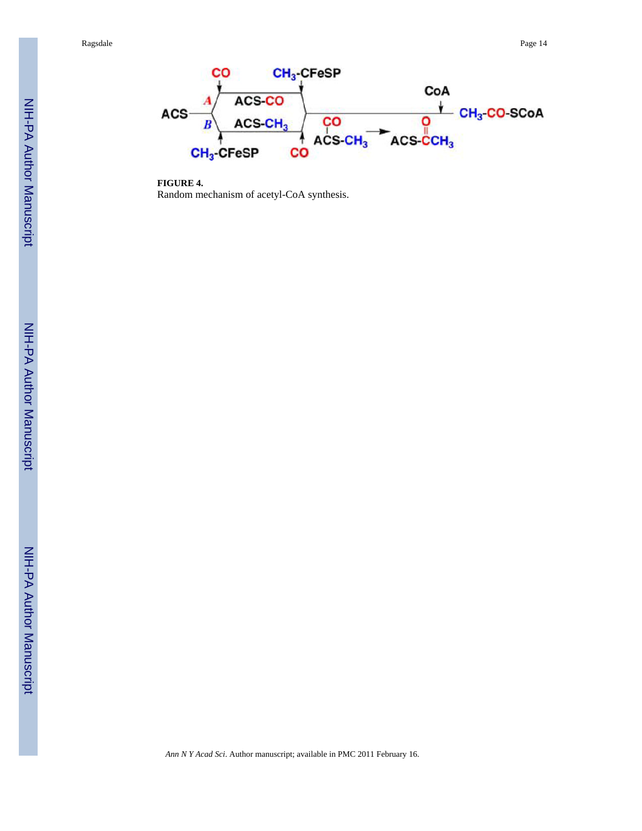

**FIGURE 4.** Random mechanism of acetyl-CoA synthesis.